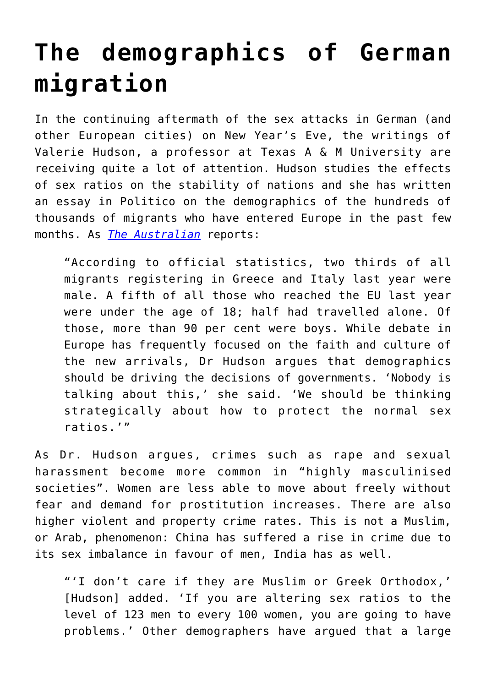## **[The demographics of German](https://intellectualtakeout.org/2016/01/the-demographics-of-german-migration/) [migration](https://intellectualtakeout.org/2016/01/the-demographics-of-german-migration/)**

In the continuing aftermath of the sex attacks in German (and other European cities) on New Year's Eve, the writings of Valerie Hudson, a professor at Texas A & M University are receiving quite a lot of attention. Hudson studies the effects of sex ratios on the stability of nations and she has written an essay in Politico on the demographics of the hundreds of thousands of migrants who have entered Europe in the past few months. As *[The Australian](http://www.theaustralian.com.au/news/world/the-times/crime-and-disorder-warning-after-influx-of-male-migrants/news-story/9ef5fbbb905b13532a5ec1b4cde653a2)* reports:

"According to official statistics, two thirds of all migrants registering in Greece and Italy last year were male. A fifth of all those who reached the EU last year were under the age of 18; half had travelled alone. Of those, more than 90 per cent were boys. While debate in Europe has frequently focused on the faith and culture of the new arrivals, Dr Hudson argues that demographics should be driving the decisions of governments. 'Nobody is talking about this,' she said. 'We should be thinking strategically about how to protect the normal sex ratios.'"

As Dr. Hudson argues, crimes such as rape and sexual harassment become more common in "highly masculinised societies". Women are less able to move about freely without fear and demand for prostitution increases. There are also higher violent and property crime rates. This is not a Muslim, or Arab, phenomenon: China has suffered a rise in crime due to its sex imbalance in favour of men, India has as well.

"'I don't care if they are Muslim or Greek Orthodox,' [Hudson] added. 'If you are altering sex ratios to the level of 123 men to every 100 women, you are going to have problems.' Other demographers have argued that a large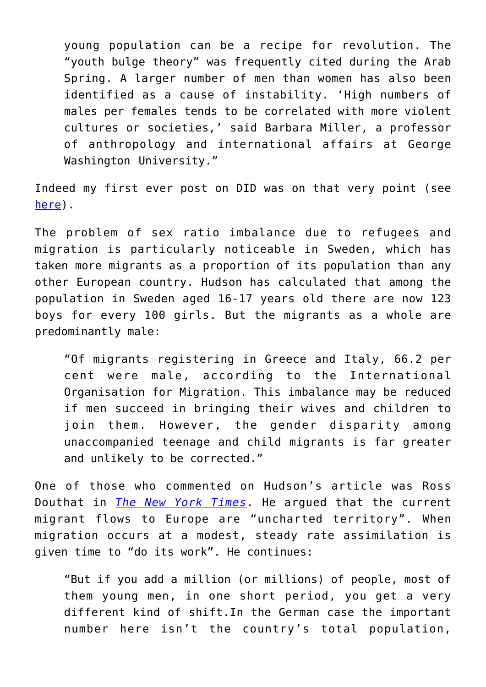young population can be a recipe for revolution. The "youth bulge theory" was frequently cited during the Arab Spring. A larger number of men than women has also been identified as a cause of instability. 'High numbers of males per females tends to be correlated with more violent cultures or societies,' said Barbara Miller, a professor of anthropology and international affairs at George Washington University."

Indeed my first ever post on DID was on that very point (see [here](http://www.mercatornet.com/demography/view/will_gender_imbalance_lead_to_war/8838)).

The problem of sex ratio imbalance due to refugees and migration is particularly noticeable in Sweden, which has taken more migrants as a proportion of its population than any other European country. Hudson has calculated that among the population in Sweden aged 16-17 years old there are now 123 boys for every 100 girls. But the migrants as a whole are predominantly male:

"Of migrants registering in Greece and Italy, 66.2 per cent were male, according to the International Organisation for Migration. This imbalance may be reduced if men succeed in bringing their wives and children to join them. However, the gender disparity among unaccompanied teenage and child migrants is far greater and unlikely to be corrected."

One of those who commented on Hudson's article was Ross Douthat in *[The New York Times](http://www.nytimes.com/2016/01/10/opinion/sunday/germany-on-the-brink.html?action=click&pgtype=Homepage&clickSource=story-heading&module=opinion-c-col-left-region®ion=opinion-c-col-left-region&WT.nav=opinion-c-col-left-region)*. He argued that the current migrant flows to Europe are "uncharted territory". When migration occurs at a modest, steady rate assimilation is given time to "do its work". He continues:

"But if you add a million (or millions) of people, most of them young men, in one short period, you get a very different kind of shift.In the German case the important number here isn't the country's total population,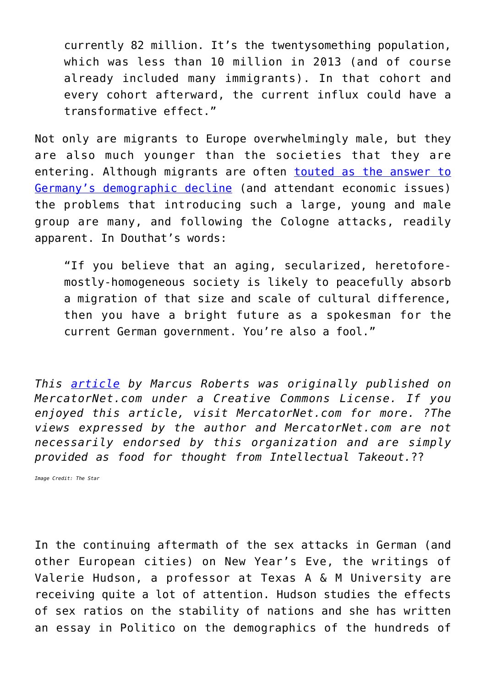currently 82 million. It's the twentysomething population, which was less than 10 million in 2013 (and of course already included many immigrants). In that cohort and every cohort afterward, the current influx could have a transformative effect."

Not only are migrants to Europe overwhelmingly male, but they are also much younger than the societies that they are entering. Although migrants are often [touted as the answer to](http://www.mercatornet.com/demography/view/germany-population-growth-by-immigration/16944) [Germany's demographic decline](http://www.mercatornet.com/demography/view/germany-population-growth-by-immigration/16944) (and attendant economic issues) the problems that introducing such a large, young and male group are many, and following the Cologne attacks, readily apparent. In Douthat's words:

"If you believe that an aging, secularized, heretoforemostly-homogeneous society is likely to peacefully absorb a migration of that size and scale of cultural difference, then you have a bright future as a spokesman for the current German government. You're also a fool."

*This [article](http://www.mercatornet.com/Demography/view/the-demographics-of-german-migration/17422) by Marcus Roberts was originally published on MercatorNet.com under a Creative Commons License. If you enjoyed this article, visit MercatorNet.com for more. ?The views expressed by the author and MercatorNet.com are not necessarily endorsed by this organization and are simply provided as food for thought from Intellectual Takeout.*??

*Image Credit: The Star*

In the continuing aftermath of the sex attacks in German (and other European cities) on New Year's Eve, the writings of Valerie Hudson, a professor at Texas A & M University are receiving quite a lot of attention. Hudson studies the effects of sex ratios on the stability of nations and she has written an essay in Politico on the demographics of the hundreds of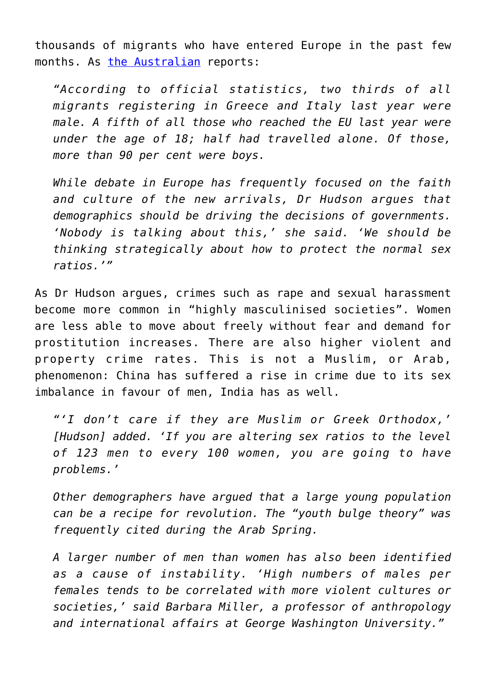thousands of migrants who have entered Europe in the past few months. As [the Australian](http://www.theaustralian.com.au/news/world/the-times/crime-and-disorder-warning-after-influx-of-male-migrants/news-story/9ef5fbbb905b13532a5ec1b4cde653a2) reports:

*"According to official statistics, two thirds of all migrants registering in Greece and Italy last year were male. A fifth of all those who reached the EU last year were under the age of 18; half had travelled alone. Of those, more than 90 per cent were boys.*

*While debate in Europe has frequently focused on the faith and culture of the new arrivals, Dr Hudson argues that demographics should be driving the decisions of governments. 'Nobody is talking about this,' she said. 'We should be thinking strategically about how to protect the normal sex ratios.'"*

As Dr Hudson argues, crimes such as rape and sexual harassment become more common in "highly masculinised societies". Women are less able to move about freely without fear and demand for prostitution increases. There are also higher violent and property crime rates. This is not a Muslim, or Arab, phenomenon: China has suffered a rise in crime due to its sex imbalance in favour of men, India has as well.

*"'I don't care if they are Muslim or Greek Orthodox,' [Hudson] added. 'If you are altering sex ratios to the level of 123 men to every 100 women, you are going to have problems.'*

*Other demographers have argued that a large young population can be a recipe for revolution. The "youth bulge theory" was frequently cited during the Arab Spring.*

*A larger number of men than women has also been identified as a cause of instability. 'High numbers of males per females tends to be correlated with more violent cultures or societies,' said Barbara Miller, a professor of anthropology and international affairs at George Washington University."*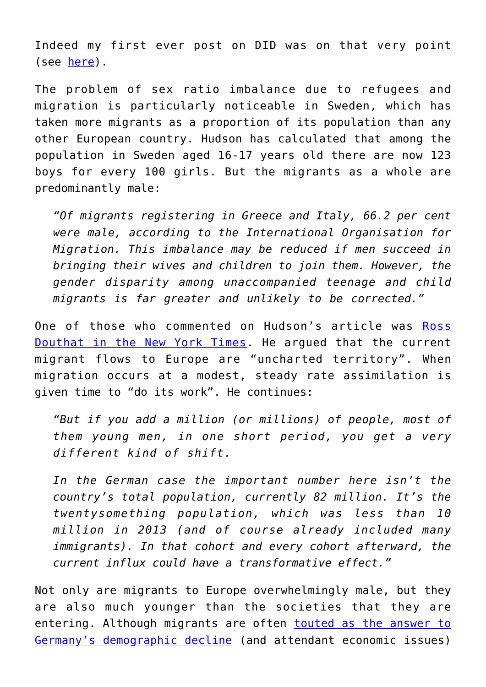Indeed my first ever post on DID was on that very point (see [here\)](http://www.mercatornet.com/demography/view/will_gender_imbalance_lead_to_war/8838).

The problem of sex ratio imbalance due to refugees and migration is particularly noticeable in Sweden, which has taken more migrants as a proportion of its population than any other European country. Hudson has calculated that among the population in Sweden aged 16-17 years old there are now 123 boys for every 100 girls. But the migrants as a whole are predominantly male:

*"Of migrants registering in Greece and Italy, 66.2 per cent were male, according to the International Organisation for Migration. This imbalance may be reduced if men succeed in bringing their wives and children to join them. However, the gender disparity among unaccompanied teenage and child migrants is far greater and unlikely to be corrected."*

One of those who commented on Hudson's article was [Ross](http://www.nytimes.com/2016/01/10/opinion/sunday/germany-on-the-brink.html?action=click&pgtype=Homepage&clickSource=story-heading&module=opinion-c-col-left-region®ion=opinion-c-col-left-region&WT.nav=opinion-c-col-left-region) [Douthat in the New York Times](http://www.nytimes.com/2016/01/10/opinion/sunday/germany-on-the-brink.html?action=click&pgtype=Homepage&clickSource=story-heading&module=opinion-c-col-left-region®ion=opinion-c-col-left-region&WT.nav=opinion-c-col-left-region). He argued that the current migrant flows to Europe are "uncharted territory". When migration occurs at a modest, steady rate assimilation is given time to "do its work". He continues:

*"But if you add a million (or millions) of people, most of them young men, in one short period, you get a very different kind of shift.*

*In the German case the important number here isn't the country's total population, currently 82 million. It's the twentysomething population, which was less than 10 million in 2013 (and of course already included many immigrants). In that cohort and every cohort afterward, the current influx could have a transformative effect."*

Not only are migrants to Europe overwhelmingly male, but they are also much younger than the societies that they are entering. Although migrants are often [touted as the answer to](http://www.mercatornet.com/demography/view/germany-population-growth-by-immigration/16944) [Germany's demographic decline](http://www.mercatornet.com/demography/view/germany-population-growth-by-immigration/16944) (and attendant economic issues)